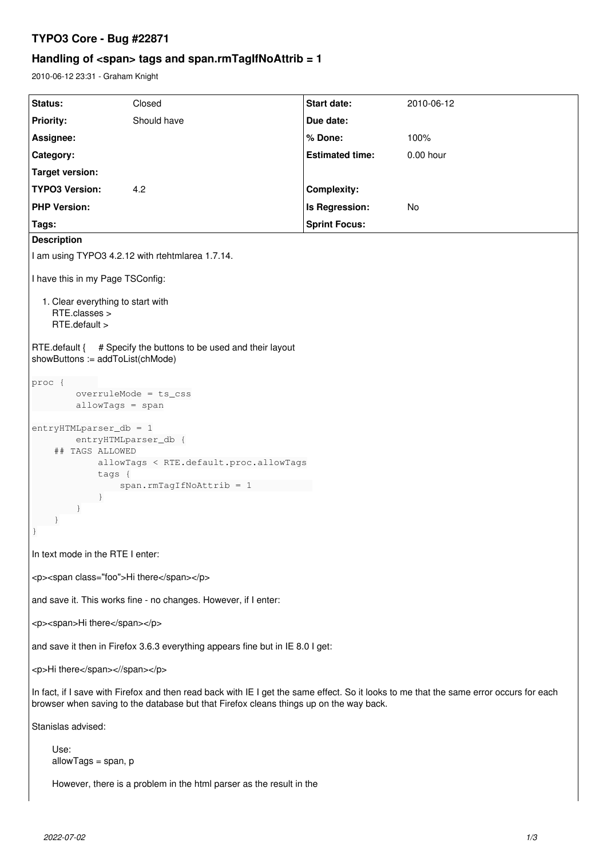# **TYPO3 Core - Bug #22871**

# **Handling of <span> tags and span.rmTagIfNoAttrib = 1**

2010-06-12 23:31 - Graham Knight

| Status:                                                                                                                                                                                                                           | Closed      | <b>Start date:</b>     | 2010-06-12  |
|-----------------------------------------------------------------------------------------------------------------------------------------------------------------------------------------------------------------------------------|-------------|------------------------|-------------|
| <b>Priority:</b>                                                                                                                                                                                                                  | Should have | Due date:              |             |
| Assignee:                                                                                                                                                                                                                         |             | % Done:                | 100%        |
| Category:                                                                                                                                                                                                                         |             | <b>Estimated time:</b> | $0.00$ hour |
| <b>Target version:</b>                                                                                                                                                                                                            |             |                        |             |
| <b>TYPO3 Version:</b>                                                                                                                                                                                                             | 4.2         | <b>Complexity:</b>     |             |
| <b>PHP Version:</b>                                                                                                                                                                                                               |             | Is Regression:         | No          |
| Tags:<br><b>Description</b>                                                                                                                                                                                                       |             | <b>Sprint Focus:</b>   |             |
| I am using TYPO3 4.2.12 with rtehtmlarea 1.7.14.                                                                                                                                                                                  |             |                        |             |
|                                                                                                                                                                                                                                   |             |                        |             |
| I have this in my Page TSConfig:                                                                                                                                                                                                  |             |                        |             |
| 1. Clear everything to start with<br>RTE.classes ><br>RTE.default >                                                                                                                                                               |             |                        |             |
| RTE.default {<br># Specify the buttons to be used and their layout<br>showButtons := addToList(chMode)                                                                                                                            |             |                        |             |
| proc {<br>overruleMode = ts_css<br>$allowTags = span$                                                                                                                                                                             |             |                        |             |
| $entry$ HTMLparser_db = 1<br>entryHTMLparser_db {<br>## TAGS ALLOWED<br>allowTags < RTE.default.proc.allowTags<br>tags {<br>$span.rmTagIfNoAttrib = 1$<br>$\mathcal{F}$                                                           |             |                        |             |
| In text mode in the RTE I enter:                                                                                                                                                                                                  |             |                        |             |
| <p><span class="foo">Hi there</span></p>                                                                                                                                                                                          |             |                        |             |
| and save it. This works fine - no changes. However, if I enter:                                                                                                                                                                   |             |                        |             |
| <p><span>Hi there</span></p>                                                                                                                                                                                                      |             |                        |             |
| and save it then in Firefox 3.6.3 everything appears fine but in IE 8.0 I get:                                                                                                                                                    |             |                        |             |
| <p>Hi there<!--/span--></p>                                                                                                                                                                                                       |             |                        |             |
| In fact, if I save with Firefox and then read back with IE I get the same effect. So it looks to me that the same error occurs for each<br>browser when saving to the database but that Firefox cleans things up on the way back. |             |                        |             |
| Stanislas advised:                                                                                                                                                                                                                |             |                        |             |
| Use:<br>$allowTags = span, p$                                                                                                                                                                                                     |             |                        |             |
| However, there is a problem in the html parser as the result in the                                                                                                                                                               |             |                        |             |
|                                                                                                                                                                                                                                   |             |                        |             |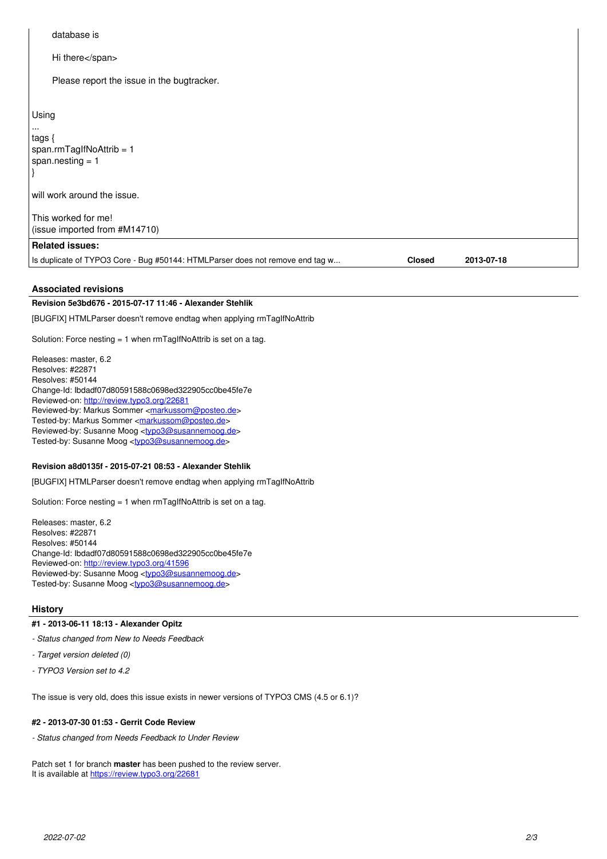# database is Hi there</span> Please report the issue in the bugtracker. Using ... tags { span.rmTagIfNoAttrib = 1 span.nesting = 1 } will work around the issue. This worked for me! (issue imported from #M14710) **Related issues:** Is duplicate of TYPO3 Core - Bug #50144: HTMLParser does not remove end tag w... **Closed 2013-07-18**

### **Associated revisions**

**Revision 5e3bd676 - 2015-07-17 11:46 - Alexander Stehlik**

[BUGFIX] HTMLParser doesn't remove endtag when applying rmTagIfNoAttrib

Solution: Force nesting = 1 when rmTagIfNoAttrib is set on a tag.

Releases: master, 6.2 Resolves: #22871 Resolves: #50144 Change-Id: Ibdadf07d80591588c0698ed322905cc0be45fe7e Reviewed-on:<http://review.typo3.org/22681> Reviewed-by: Markus Sommer [<markussom@posteo.de](mailto:markussom@posteo.de)> Tested-by: Markus Sommer <[markussom@posteo.de](mailto:markussom@posteo.de)> Reviewed-by: Susanne Moog <[typo3@susannemoog.de>](mailto:typo3@susannemoog.de) Tested-by: Susanne Moog <[typo3@susannemoog.de>](mailto:typo3@susannemoog.de)

#### **Revision a8d0135f - 2015-07-21 08:53 - Alexander Stehlik**

[BUGFIX] HTMLParser doesn't remove endtag when applying rmTagIfNoAttrib

Solution: Force nesting = 1 when rmTagIfNoAttrib is set on a tag.

Releases: master, 6.2 Resolves: #22871 Resolves: #50144 Change-Id: Ibdadf07d80591588c0698ed322905cc0be45fe7e Reviewed-on:<http://review.typo3.org/41596> Reviewed-by: Susanne Moog <[typo3@susannemoog.de>](mailto:typo3@susannemoog.de) Tested-by: Susanne Moog <[typo3@susannemoog.de>](mailto:typo3@susannemoog.de)

## **History**

- **#1 2013-06-11 18:13 Alexander Opitz**
- *Status changed from New to Needs Feedback*
- *Target version deleted (0)*
- *TYPO3 Version set to 4.2*

The issue is very old, does this issue exists in newer versions of TYPO3 CMS (4.5 or 6.1)?

# **#2 - 2013-07-30 01:53 - Gerrit Code Review**

*- Status changed from Needs Feedback to Under Review*

Patch set 1 for branch **master** has been pushed to the review server. It is available at <https://review.typo3.org/22681>